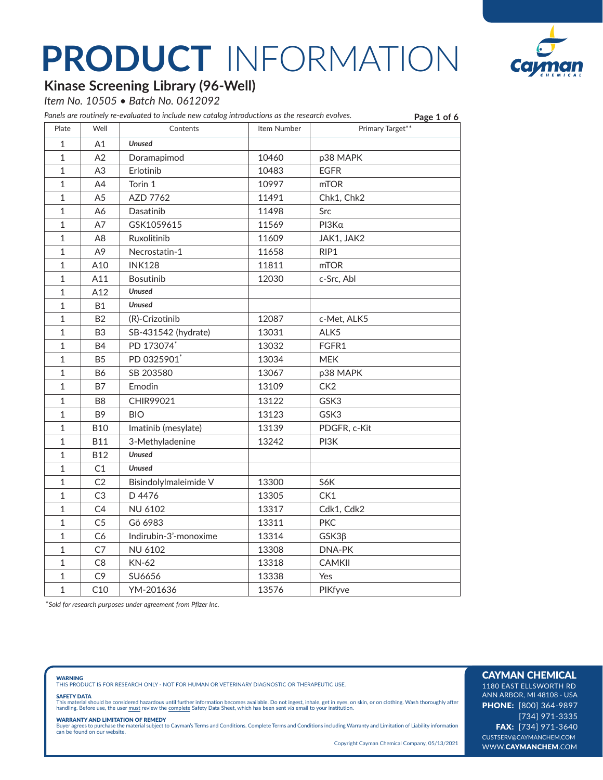

**Page 1 of 6**

### **Kinase Screening Library (96-Well)**

*Item No. 10505 • Batch No. 0612092*

*Panels are routinely re-evaluated to include new catalog introductions as the research evolves.*

| Plate        | Well           | Contents              | Item Number | . - 0 - 1 - .<br>Primary Target** |
|--------------|----------------|-----------------------|-------------|-----------------------------------|
| $1\,$        | A1             | <b>Unused</b>         |             |                                   |
| $\mathbf{1}$ | A2             | Doramapimod           | 10460       | p38 MAPK                          |
| $\mathbf{1}$ | A <sub>3</sub> | Erlotinib             | 10483       | <b>EGFR</b>                       |
| $\mathbf{1}$ | A4             | Torin 1               | 10997       | mTOR                              |
| $\mathbf{1}$ | A <sub>5</sub> | AZD 7762              | 11491       | Chk1, Chk2                        |
| $\mathbf{1}$ | Α6             | Dasatinib             | 11498       | Src                               |
| $\mathbf 1$  | A7             | GSK1059615            | 11569       | ΡΙ3Κα                             |
| 1            | A8             | Ruxolitinib           | 11609       | JAK1, JAK2                        |
| $\mathbf 1$  | A <sub>9</sub> | Necrostatin-1         | 11658       | RIP1                              |
| $\mathbf{1}$ | A10            | <b>INK128</b>         | 11811       | mTOR                              |
| $\mathbf 1$  | A11            | <b>Bosutinib</b>      | 12030       | c-Src, Abl                        |
| $\mathbf{1}$ | A12            | <b>Unused</b>         |             |                                   |
| $\mathbf{1}$ | <b>B1</b>      | <b>Unused</b>         |             |                                   |
| $\mathbf 1$  | <b>B2</b>      | (R)-Crizotinib        | 12087       | c-Met, ALK5                       |
| $\mathbf 1$  | B <sub>3</sub> | SB-431542 (hydrate)   | 13031       | ALK5                              |
| $\mathbf{1}$ | <b>B4</b>      | PD 173074*            | 13032       | FGFR1                             |
| $\mathbf{1}$ | <b>B5</b>      | PD 0325901            | 13034       | <b>MEK</b>                        |
| $1\,$        | <b>B6</b>      | SB 203580             | 13067       | p38 MAPK                          |
| 1            | B7             | Emodin                | 13109       | CK <sub>2</sub>                   |
| $\mathbf 1$  | B8             | CHIR99021             | 13122       | GSK3                              |
| $\mathbf 1$  | B <sub>9</sub> | <b>BIO</b>            | 13123       | GSK3                              |
| $\mathbf 1$  | <b>B10</b>     | Imatinib (mesylate)   | 13139       | PDGFR, c-Kit                      |
| $\mathbf 1$  | <b>B11</b>     | 3-Methyladenine       | 13242       | PI3K                              |
| $1\,$        | <b>B12</b>     | <b>Unused</b>         |             |                                   |
| $1\,$        | C1             | <b>Unused</b>         |             |                                   |
| $\mathbf 1$  | C <sub>2</sub> | Bisindolylmaleimide V | 13300       | S6K                               |
| $\mathbf{1}$ | C <sub>3</sub> | D 4476                | 13305       | CK1                               |
| $\mathbf{1}$ | C <sub>4</sub> | <b>NU 6102</b>        | 13317       | Cdk1, Cdk2                        |
| $\mathbf 1$  | C <sub>5</sub> | Gö 6983               | 13311       | <b>PKC</b>                        |
| $\mathbf{1}$ | C <sub>6</sub> | Indirubin-3'-monoxime | 13314       | $GSK3\beta$                       |
| $\mathbf 1$  | C7             | <b>NU 6102</b>        | 13308       | DNA-PK                            |
| $\mathbf{1}$ | C <sub>8</sub> | <b>KN-62</b>          | 13318       | <b>CAMKII</b>                     |
| 1            | C <sub>9</sub> | SU6656                | 13338       | Yes                               |
| $\mathbf 1$  | C10            | YM-201636             | 13576       | PIKfyve                           |

\**Sold for research purposes under agreement from Pfizer Inc.*

**WARNING**<br>THIS PRODUCT IS FOR RESEARCH ONLY - NOT FOR HUMAN OR VETERINARY DIAGNOSTIC OR THERAPEUTIC USE.

### SAFETY DATA

This material should be considered hazardous until further information becomes available. Do not ingest, inhale, get in eyes, on skin, or on clothing. Wash thoroughly after<br>handling. Before use, the user must review the co

### WARRANTY AND LIMITATION OF REMEDY

Buyer agrees to purchase the material subject to Cayman's Terms and Conditions. Complete Terms and Conditions including Warranty and Limitation of Liability information can be found on our website.

Copyright Cayman Chemical Company, 05/13/2021

### CAYMAN CHEMICAL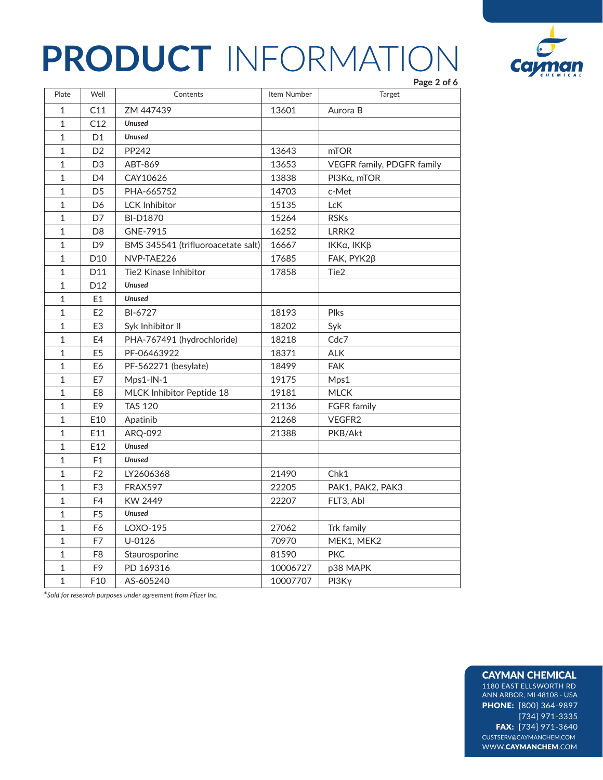

|              |                 |                                    |             | Page 2 of 6                |
|--------------|-----------------|------------------------------------|-------------|----------------------------|
| Plate        | Well            | Contents                           | Item Number | Target                     |
| $\mathbf{1}$ | C11             | ZM 447439                          | 13601       | Aurora B                   |
| $\mathbf{1}$ | C12             | <b>Unused</b>                      |             |                            |
| 1            | D <sub>1</sub>  | <b>Unused</b>                      |             |                            |
| $\mathbf{1}$ | D <sub>2</sub>  | PP242                              | 13643       | mTOR                       |
| $\mathbf{1}$ | D <sub>3</sub>  | ABT-869                            | 13653       | VEGFR family, PDGFR family |
| 1            | D <sub>4</sub>  | CAY10626                           | 13838       | PI3Ka, mTOR                |
| 1            | D <sub>5</sub>  | PHA-665752                         | 14703       | c-Met                      |
| 1            | D <sub>6</sub>  | <b>LCK Inhibitor</b>               | 15135       | LcK                        |
| 1            | D7              | <b>BI-D1870</b>                    | 15264       | <b>RSKs</b>                |
| 1            | D <sub>8</sub>  | GNE-7915                           | 16252       | LRRK2                      |
| $\mathbf{1}$ | D <sub>9</sub>  | BMS 345541 (trifluoroacetate salt) | 16667       | ΙΚΚα, ΙΚΚβ                 |
| 1            | D <sub>10</sub> | NVP-TAE226                         | 17685       | FAK, PYK2β                 |
| 1            | D <sub>11</sub> | Tie2 Kinase Inhibitor              | 17858       | Tie2                       |
| 1            | D <sub>12</sub> | <b>Unused</b>                      |             |                            |
| 1            | E1              | <b>Unused</b>                      |             |                            |
| 1            | E <sub>2</sub>  | BI-6727                            | 18193       | <b>Plks</b>                |
| $\mathbf{1}$ | E <sub>3</sub>  | Syk Inhibitor II                   | 18202       | Syk                        |
| 1            | E4              | PHA-767491 (hydrochloride)         | 18218       | Cdc7                       |
| 1            | E <sub>5</sub>  | PF-06463922                        | 18371       | <b>ALK</b>                 |
| $\mathbf 1$  | E6              | PF-562271 (besylate)               | 18499       | <b>FAK</b>                 |
| $\mathbf{1}$ | E7              | Mps1-IN-1                          | 19175       | Mps1                       |
| $\mathbf{1}$ | E8              | MLCK Inhibitor Peptide 18          | 19181       | <b>MLCK</b>                |
| $\mathbf 1$  | E9              | <b>TAS 120</b>                     | 21136       | FGFR family                |
| $\mathbf{1}$ | E10             | Apatinib                           | 21268       | VEGFR2                     |
| $\mathbf{1}$ | E11             | ARQ-092                            | 21388       | PKB/Akt                    |
| $\mathbf{1}$ | E12             | <b>Unused</b>                      |             |                            |
| $\mathbf{1}$ | F1              | <b>Unused</b>                      |             |                            |
| $\mathbf 1$  | F <sub>2</sub>  | LY2606368                          | 21490       | Chk1                       |
| $\mathbf 1$  | F3              | <b>FRAX597</b>                     | 22205       | PAK1, PAK2, PAK3           |
| $\mathbf{1}$ | F4              | KW 2449                            | 22207       | FLT3, Abl                  |
| $\mathbf{1}$ | F <sub>5</sub>  | <b>Unused</b>                      |             |                            |
| $\mathbf 1$  | F6              | LOXO-195                           | 27062       | Trk family                 |
| $\mathbf{1}$ | F7              | $U-0126$                           | 70970       | MEK1, MEK2                 |
| $\mathbf 1$  | F <sub>8</sub>  | Staurosporine                      | 81590       | <b>PKC</b>                 |
| $\mathbf{1}$ | F9              | PD 169316                          | 10006727    | p38 MAPK                   |
| $\mathbf{1}$ | F <sub>10</sub> | AS-605240                          | 10007707    | $PI3K\gamma$               |

\**Sold for research purposes under agreement from Pfizer Inc.*

### CAYMAN CHEMICAL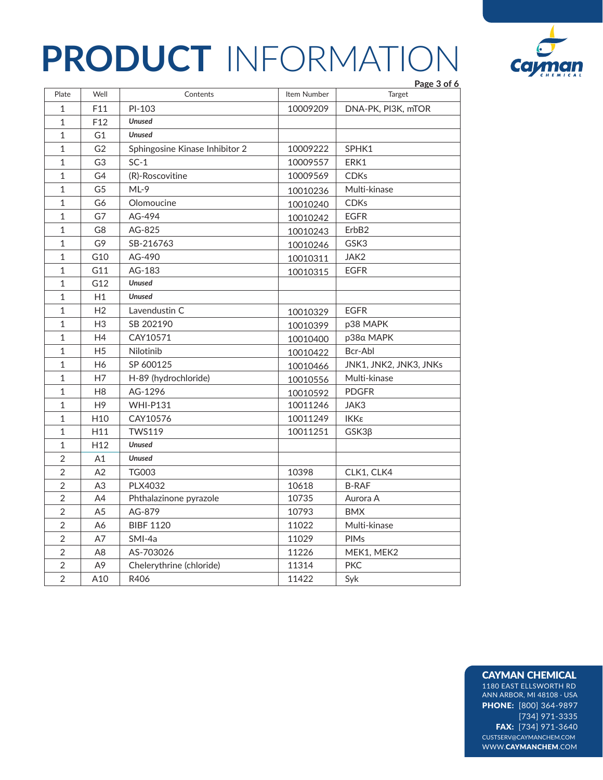|                |                 |                                |             | Page 3 of 6            |
|----------------|-----------------|--------------------------------|-------------|------------------------|
| Plate          | Well            | Contents                       | Item Number | Target                 |
| $\mathbf{1}$   | F11             | PI-103                         | 10009209    | DNA-PK, PI3K, mTOR     |
| $\mathbf{1}$   | F12             | <b>Unused</b>                  |             |                        |
| $\mathbf{1}$   | G <sub>1</sub>  | <b>Unused</b>                  |             |                        |
| $\mathbf{1}$   | G <sub>2</sub>  | Sphingosine Kinase Inhibitor 2 | 10009222    | SPHK1                  |
| $\mathbf{1}$   | G <sub>3</sub>  | $SC-1$                         | 10009557    | ERK1                   |
| $\mathbf{1}$   | G4              | (R)-Roscovitine                | 10009569    | <b>CDKs</b>            |
| 1              | G5              | $ML-9$                         | 10010236    | Multi-kinase           |
| $\mathbf{1}$   | G6              | Olomoucine                     | 10010240    | <b>CDKs</b>            |
| $\mathbf{1}$   | G7              | AG-494                         | 10010242    | <b>EGFR</b>            |
| $\mathbf{1}$   | G8              | AG-825                         | 10010243    | ErbB <sub>2</sub>      |
| 1              | G9              | SB-216763                      | 10010246    | GSK3                   |
| $\mathbf{1}$   | G10             | AG-490                         | 10010311    | JAK2                   |
| $\mathbf{1}$   | G11             | AG-183                         | 10010315    | <b>EGFR</b>            |
| $\mathbf{1}$   | G12             | <b>Unused</b>                  |             |                        |
| 1              | H1              | <b>Unused</b>                  |             |                        |
| 1              | H <sub>2</sub>  | Lavendustin C                  | 10010329    | <b>EGFR</b>            |
| 1              | H <sub>3</sub>  | SB 202190                      | 10010399    | p38 MAPK               |
| 1              | H4              | CAY10571                       | 10010400    | p38α MAPK              |
| $\mathbf{1}$   | H <sub>5</sub>  | Nilotinib                      | 10010422    | Bcr-Abl                |
| $\mathbf{1}$   | H6              | SP 600125                      | 10010466    | JNK1, JNK2, JNK3, JNKs |
| 1              | H7              | H-89 (hydrochloride)           | 10010556    | Multi-kinase           |
| $\mathbf{1}$   | H <sub>8</sub>  | AG-1296                        | 10010592    | <b>PDGFR</b>           |
| $\mathbf{1}$   | H <sub>9</sub>  | <b>WHI-P131</b>                | 10011246    | JAK3                   |
| 1              | H <sub>10</sub> | CAY10576                       | 10011249    | IΚΚε                   |
| $\mathbf{1}$   | H11             | <b>TWS119</b>                  | 10011251    | $GSK3\beta$            |
| 1              | H <sub>12</sub> | <b>Unused</b>                  |             |                        |
| $\overline{2}$ | A1              | <b>Unused</b>                  |             |                        |
| $\overline{2}$ | A2              | <b>TG003</b>                   | 10398       | CLK1, CLK4             |
| $\overline{2}$ | A <sub>3</sub>  | PLX4032                        | 10618       | <b>B-RAF</b>           |
| $\overline{2}$ | A4              | Phthalazinone pyrazole         | 10735       | Aurora A               |
| 2              | A <sub>5</sub>  | AG-879                         | 10793       | <b>BMX</b>             |
| 2              | A6              | <b>BIBF 1120</b>               | 11022       | Multi-kinase           |
| $\overline{2}$ | A7              | SMI-4a                         | 11029       | <b>PIMs</b>            |
| $\overline{2}$ | A8              | AS-703026                      | 11226       | MEK1, MEK2             |
| $\overline{2}$ | A <sub>9</sub>  | Chelerythrine (chloride)       | 11314       | <b>PKC</b>             |
| $\overline{2}$ | A10             | R406                           | 11422       | Syk                    |
|                |                 |                                |             |                        |

# Cay

### CAYMAN CHEMICAL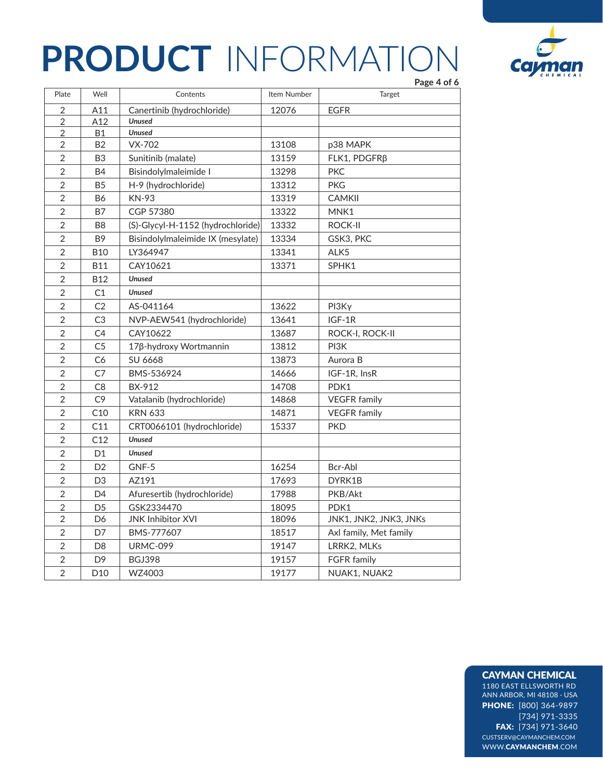

|                |                 |                                   |             | Page 4 of 6            |
|----------------|-----------------|-----------------------------------|-------------|------------------------|
| Plate          | Well            | Contents                          | Item Number | Target                 |
| $\overline{2}$ | A11             | Canertinib (hydrochloride)        | 12076       | <b>EGFR</b>            |
| $\overline{2}$ | A12             | <b>Unused</b>                     |             |                        |
| $\overline{2}$ | Β1              | <b>Unused</b>                     |             |                        |
| $\overline{2}$ | <b>B2</b>       | $VX-702$                          | 13108       | p38 MAPK               |
| 2              | B <sub>3</sub>  | Sunitinib (malate)                | 13159       | FLK1, PDGFRß           |
| $\overline{2}$ | <b>B4</b>       | Bisindolylmaleimide I             | 13298       | <b>PKC</b>             |
| $\overline{2}$ | B <sub>5</sub>  | H-9 (hydrochloride)               | 13312       | <b>PKG</b>             |
| $\overline{2}$ | B6              | <b>KN-93</b>                      | 13319       | <b>CAMKII</b>          |
| $\overline{2}$ | <b>B7</b>       | CGP 57380                         | 13322       | MNK1                   |
| $\overline{2}$ | B <sub>8</sub>  | (S)-Glycyl-H-1152 (hydrochloride) | 13332       | <b>ROCK-II</b>         |
| $\overline{2}$ | B <sub>9</sub>  | Bisindolylmaleimide IX (mesylate) | 13334       | GSK3, PKC              |
| $\overline{2}$ | <b>B10</b>      | LY364947                          | 13341       | ALK5                   |
| $\overline{2}$ | <b>B11</b>      | CAY10621                          | 13371       | SPHK1                  |
| $\overline{2}$ | <b>B12</b>      | <b>Unused</b>                     |             |                        |
| $\overline{2}$ | C1              | <b>Unused</b>                     |             |                        |
| $\overline{2}$ | C2              | AS-041164                         | 13622       | PI3Ky                  |
| $\overline{2}$ | C <sub>3</sub>  | NVP-AEW541 (hydrochloride)        | 13641       | $IGF-1R$               |
| $\overline{2}$ | C <sub>4</sub>  | CAY10622                          | 13687       | ROCK-I, ROCK-II        |
| $\overline{2}$ | C <sub>5</sub>  | 17β-hydroxy Wortmannin            | 13812       | PI3K                   |
| $\overline{2}$ | C6              | SU 6668                           | 13873       | Aurora B               |
| $\overline{2}$ | C7              | BMS-536924                        | 14666       | IGF-1R, InsR           |
| $\overline{2}$ | C8              | BX-912                            | 14708       | PDK1                   |
| $\overline{2}$ | C9              | Vatalanib (hydrochloride)         | 14868       | <b>VEGFR</b> family    |
| $\overline{2}$ | C10             | <b>KRN 633</b>                    | 14871       | <b>VEGFR</b> family    |
| $\overline{2}$ | C11             | CRT0066101 (hydrochloride)        | 15337       | <b>PKD</b>             |
| $\overline{2}$ | C12             | <b>Unused</b>                     |             |                        |
| $\overline{2}$ | D <sub>1</sub>  | <b>Unused</b>                     |             |                        |
| $\overline{2}$ | D <sub>2</sub>  | GNF-5                             | 16254       | Bcr-Abl                |
| $\overline{2}$ | D <sub>3</sub>  | AZ191                             | 17693       | DYRK1B                 |
| $\overline{2}$ | D <sub>4</sub>  | Afuresertib (hydrochloride)       | 17988       | PKB/Akt                |
| $\overline{2}$ | D <sub>5</sub>  | GSK2334470                        | 18095       | PDK1                   |
| $\overline{2}$ | D6              | <b>JNK Inhibitor XVI</b>          | 18096       | JNK1, JNK2, JNK3, JNKs |
| $\overline{2}$ | D7              | BMS-777607                        | 18517       | Axl family, Met family |
| $\overline{2}$ | D <sub>8</sub>  | <b>URMC-099</b>                   | 19147       | LRRK2, MLKs            |
| $\overline{2}$ | D <sub>9</sub>  | <b>BGJ398</b>                     | 19157       | <b>FGFR</b> family     |
| $\overline{2}$ | D <sub>10</sub> | WZ4003                            | 19177       | NUAK1, NUAK2           |

### CAYMAN CHEMICAL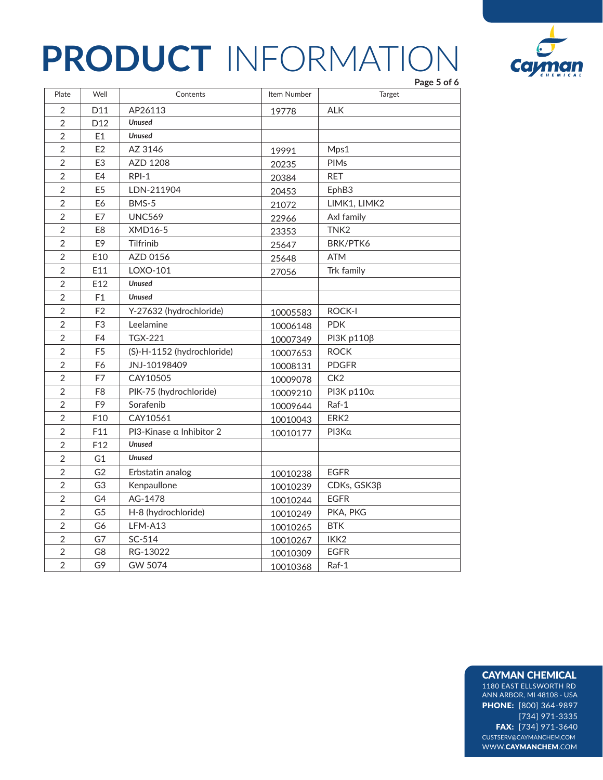

|                |                 |                            |             | Page 5 of 6       |
|----------------|-----------------|----------------------------|-------------|-------------------|
| Plate          | Well            | Contents                   | Item Number | Target            |
| $\overline{2}$ | D11             | AP26113                    | 19778       | <b>ALK</b>        |
| $\overline{2}$ | D12             | <b>Unused</b>              |             |                   |
| 2              | E1              | <b>Unused</b>              |             |                   |
| $\overline{2}$ | E2              | AZ 3146                    | 19991       | Mps1              |
| $\overline{2}$ | E <sub>3</sub>  | AZD 1208                   | 20235       | <b>PIMs</b>       |
| $\overline{2}$ | E <sub>4</sub>  | $RPI-1$                    | 20384       | <b>RET</b>        |
| $\overline{2}$ | E <sub>5</sub>  | LDN-211904                 | 20453       | EphB3             |
| $\overline{2}$ | E <sub>6</sub>  | BMS-5                      | 21072       | LIMK1, LIMK2      |
| $\overline{2}$ | E7              | <b>UNC569</b>              | 22966       | Axl family        |
| $\overline{2}$ | E <sub>8</sub>  | <b>XMD16-5</b>             | 23353       | TNK <sub>2</sub>  |
| $\overline{2}$ | E <sub>9</sub>  | Tilfrinib                  | 25647       | BRK/PTK6          |
| $\overline{2}$ | E10             | AZD 0156                   | 25648       | <b>ATM</b>        |
| $\overline{2}$ | E11             | LOXO-101                   | 27056       | Trk family        |
| $\overline{2}$ | E12             | <b>Unused</b>              |             |                   |
| $\overline{2}$ | F1              | <b>Unused</b>              |             |                   |
| $\overline{2}$ | F <sub>2</sub>  | Y-27632 (hydrochloride)    | 10005583    | <b>ROCK-I</b>     |
| $\overline{2}$ | F <sub>3</sub>  | Leelamine                  | 10006148    | <b>PDK</b>        |
| $\overline{2}$ | F <sub>4</sub>  | <b>TGX-221</b>             | 10007349    | PI3K p110β        |
| $\overline{2}$ | F <sub>5</sub>  | (S)-H-1152 (hydrochloride) | 10007653    | <b>ROCK</b>       |
| $\overline{2}$ | F <sub>6</sub>  | JNJ-10198409               | 10008131    | <b>PDGFR</b>      |
| $\overline{2}$ | F7              | CAY10505                   | 10009078    | CK <sub>2</sub>   |
| $\overline{2}$ | F <sub>8</sub>  | PIK-75 (hydrochloride)     | 10009210    | <b>PI3K p110α</b> |
| $\overline{2}$ | F <sub>9</sub>  | Sorafenib                  | 10009644    | Raf-1             |
| $\overline{2}$ | F10             | CAY10561                   | 10010043    | ERK <sub>2</sub>  |
| $\overline{2}$ | F11             | PI3-Kinase a Inhibitor 2   | 10010177    | PI3Ka             |
| $\overline{2}$ | F <sub>12</sub> | <b>Unused</b>              |             |                   |
| $\overline{2}$ | G <sub>1</sub>  | <b>Unused</b>              |             |                   |
| $\overline{2}$ | G <sub>2</sub>  | Erbstatin analog           | 10010238    | <b>EGFR</b>       |
| $\overline{2}$ | G3              | Kenpaullone                | 10010239    | CDKs, GSK3ß       |
| 2              | G4              | AG-1478                    | 10010244    | <b>EGFR</b>       |
| $\overline{2}$ | G <sub>5</sub>  | H-8 (hydrochloride)        | 10010249    | PKA, PKG          |
| $\overline{2}$ | G6              | LFM-A13                    | 10010265    | <b>BTK</b>        |
| $\overline{2}$ | G7              | SC-514                     | 10010267    | IKK <sub>2</sub>  |
| $\sqrt{2}$     | G8              | RG-13022                   | 10010309    | <b>EGFR</b>       |
| $\overline{2}$ | G9              | GW 5074                    | 10010368    | Raf-1             |

### CAYMAN CHEMICAL